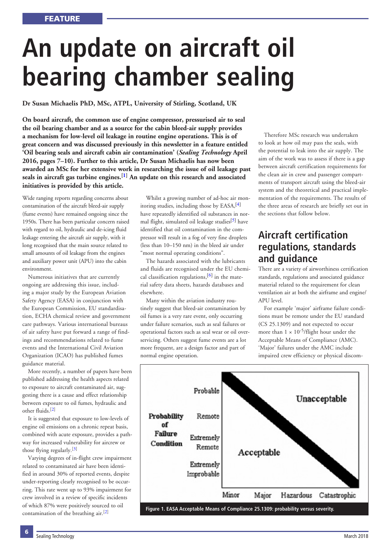# <span id="page-0-0"></span>**An update on aircraft oil bearing chamber sealing**

**Dr Susan Michaelis PhD, MSc, ATPL, University of Stirling, Scotland, UK**

**On board aircraft, the common use of engine compressor, pressurised air to seal the oil bearing chamber and as a source for the cabin bleed-air supply provides a mechanism for low-level oil leakage in routine engine operations. This is of great concern and was discussed previously in this newsletter in a feature entitled 'Oil bearing seals and aircraft cabin air contamination' (***Sealing Technology* **April 2016, pages 7–10). Further to this article, Dr Susan Michaelis has now been awarded an MSc for her extensive work in researching the issue of oil leakage past seals in aircraft gas turbine engines.[\[1\]](#page-2-0) An update on this research and associated initiatives is provided by this article.**

Wide ranging reports regarding concerns about contamination of the aircraft bleed-air supply (fume events) have remained ongoing since the 1950s. There has been particular concern raised with regard to oil, hydraulic and de-icing fluid leakage entering the aircraft air supply, with it long recognised that the main source related to small amounts of oil leakage from the engines and auxiliary power unit (APU) into the cabin environment.

Numerous initiatives that are currently ongoing are addressing this issue, including a major study by the European Aviation Safety Agency (EASA) in conjunction with the European Commission, EU standardisation, ECHA chemical review and government care pathways. Various international bureaus of air safety have put forward a range of findings and recommendations related to fume events and the International Civil Aviation Organization (ICAO) has published fumes guidance material.

More recently, a number of papers have been published addressing the health aspects related to exposure to aircraft contaminated air, suggesting there is a cause and effect relationship between exposure to oil fumes, hydraulic and other fluids.<sup>[[2\]](#page-2-0)</sup>

It is suggested that exposure to low-levels of engine oil emissions on a chronic repeat basis, combined with acute exposure, provides a pathway for increased vulnerability for aircrew or those flying regularly.[\[3\]](#page-2-0)

Varying degrees of in-flight crew impairment related to contaminated air have been identified in around 30% of reported events, despite under-reporting clearly recognised to be occurring. This rate went up to 93% impairment for crew involved in a review of specific incidents of which 87% were positively sourced to oil contamination of the breathing air.[\[2](#page-2-0)]

Whilst a growing number of ad-hoc air mon-itoring studies, including those by EASA,<sup>[\[4\]](#page-2-0)</sup> have repeatedly identified oil substances in nor-mal flight, simulated oil leakage studies<sup>[\[5](#page-2-0)]</sup> have identified that oil contamination in the compressor will result in a fog of very fine droplets (less than 10–150 nm) in the bleed air under "most normal operating conditions".

The hazards associated with the lubricants and fluids are recognised under the EU chemical classification regulations,  $[6]$  in the material safety data sheets, hazards databases and elsewhere.

Many within the aviation industry routinely suggest that bleed-air contamination by oil fumes is a very rare event, only occurring under failure scenarios, such as seal failures or operational factors such as seal wear or oil overservicing. Others suggest fume events are a lot more frequent, are a design factor and part of normal engine operation.

Therefore MSc research was undertaken to look at how oil may pass the seals, with the potential to leak into the air supply. The aim of the work was to assess if there is a gap between aircraft certification requirements for the clean air in crew and passenger compartments of transport aircraft using the bleed-air system and the theoretical and practical implementation of the requirements. The results of the three areas of research are briefly set out in the sections that follow below.

# **Aircraft certification regulations, standards and guidance**

There are a variety of airworthiness certification standards, regulations and associated guidance material related to the requirement for clean ventilation air at both the airframe and engine/ APU level.

For example 'major' airframe failure conditions must be remote under the EU standard (CS 25.1309) and not expected to occur more than  $1 \times 10^{-5}/\text{flight}$  hour under the Acceptable Means of Compliance (AMC). 'Major' failures under the AMC include impaired crew efficiency or physical discom-



6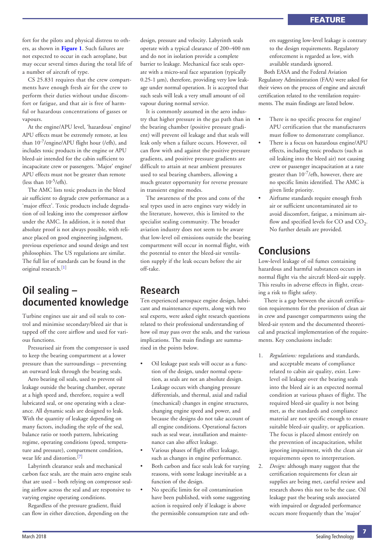fort for the pilots and physical distress to others, as shown in **[Figure](#page-0-0) 1**. Such failures are not expected to occur in each aeroplane, but may occur several times during the total life of a number of aircraft of type.

CS 25.831 requires that the crew compartments have enough fresh air for the crew to perform their duties without undue discomfort or fatigue, and that air is free of harmful or hazardous concentrations of gasses or vapours.

At the engine/APU level, 'hazardous' engine/ APU effects must be extremely remote, at less than 10-7/engine/APU flight hour (/efh), and includes toxic products in the engine or APU bleed-air intended for the cabin sufficient to incapacitate crew or passengers. 'Major' engine/ APU effects must not be greater than remote (less than  $10^{-5}/$ efh).

The AMC lists toxic products in the bleed air sufficient to degrade crew performance as a 'major effect'. Toxic products include degradation of oil leaking into the compressor airflow under the AMC. In addition, it is noted that absolute proof is not always possible, with reliance placed on good engineering judgment, previous experience and sound design and test philosophies. The US regulations are similar. The full list of standards can be found in the original research.[\[1](#page-2-0)]

# **Oil sealing – documented knowledge**

Turbine engines use air and oil seals to control and minimise secondary/bleed air that is tapped off the core airflow and used for various functions.

Pressurised air from the compressor is used to keep the bearing compartment at a lower pressure than the surroundings – preventing an outward leak through the bearing seals.

Aero bearing oil seals, used to prevent oil leakage outside the bearing chamber, operate at a high speed and, therefore, require a well lubricated seal, or one operating with a clearance. All dynamic seals are designed to leak. With the quantity of leakage depending on many factors, including the style of the seal, balance ratio or tooth pattern, lubricating regime, operating conditions (speed, temperature and pressure), compartment condition, wear life and distortion.[\[7](#page-2-0)]

Labyrinth clearance seals and mechanical carbon face seals, are the main aero engine seals that are used – both relying on compressor sealing airflow across the seal and are responsive to varying engine operating conditions.

Regardless of the pressure gradient, fluid can flow in either direction, depending on the

design, pressure and velocity. Labyrinth seals operate with a typical clearance of 200–400 nm and do not in isolation provide a complete barrier to leakage. Mechanical face seals operate with a micro-seal face separation (typically 0.25-1 µm), therefore, providing very low leakage under normal operation. It is accepted that such seals will leak a very small amount of oil vapour during normal service.

It is commonly assumed in the aero industry that higher pressure in the gas path than in the bearing chamber (positive pressure gradient) will prevent oil leakage and that seals will leak only when a failure occurs. However, oil can flow with and against the positive pressure gradients, and positive pressure gradients are difficult to attain at near ambient pressures used to seal bearing chambers, allowing a much greater opportunity for reverse pressure in transient engine modes.

The awareness of the pros and cons of the seal types used in aero engines vary widely in the literature, however, this is limited to the specialist sealing community. The broader aviation industry does not seem to be aware that low-level oil emissions outside the bearing compartment will occur in normal flight, with the potential to enter the bleed-air ventilation supply if the leak occurs before the air off-take.

# **Research**

Ten experienced aerospace engine design, lubricant and maintenance experts, along with two seal experts, were asked eight research questions related to their professional understanding of how oil may pass over the seals, and the various implications. The main findings are summarised in the points below.

- Oil leakage past seals will occur as a function of the design, under normal operation, as seals are not an absolute design. Leakage occurs with changing pressure differentials, and thermal, axial and radial (mechanical) changes in engine structures, changing engine speed and power, and because the designs do not take account of all engine conditions. Operational factors such as seal wear, installation and maintenance can also affect leakage.
- Various phases of flight effect leakage, such as changes in engine performance.
- Both carbon and face seals leak for varying reasons, with some leakage inevitable as a function of the design.
- No specific limits for oil contamination have been published, with some suggesting action is required only if leakage is above the permissible consumption rate and oth-

ers suggesting low-level leakage is contrary to the design requirements. Regulatory enforcement is regarded as low, with available standards ignored.

Both EASA and the Federal Aviation Regulatory Administration (FAA) were asked for their views on the process of engine and aircraft certification related to the ventilation requirements. The main findings are listed below.

- There is no specific process for engine/ APU certification that the manufacturers must follow to demonstrate compliance.
- There is a focus on hazardous engine/APU effects, including toxic products (such as oil leaking into the bleed air) not causing crew or passenger incapacitation at a rate greater than 10-7/efh, however, there are no specific limits identified. The AMC is given little priority.
- Airframe standards require enough fresh air or sufficient uncontaminated air to avoid discomfort, fatigue, a minimum airflow and specified levels for CO and  $CO<sub>2</sub>$ . No further details are provided.

# **Conclusions**

Low-level leakage of oil fumes containing hazardous and harmful substances occurs in normal flight via the aircraft bleed-air supply. This results in adverse effects in flight, creating a risk to flight safety.

There is a gap between the aircraft certification requirements for the provision of clean air in crew and passenger compartments using the bleed-air system and the documented theoretical and practical implementation of the requirements. Key conclusions include:

- 1. *Regulations:* regulations and standards, and acceptable means of compliance related to cabin air quality, exist. Lowlevel oil leakage over the bearing seals into the bleed air is an expected normal condition at various phases of flight. The required bleed-air quality is not being met, as the standards and compliance material are not specific enough to ensure suitable bleed-air quality, or application. The focus is placed almost entirely on the prevention of incapacitation, whilst ignoring impairment, with the clean air requirements open to interpretation.
- 2. *Design:* although many suggest that the certification requirements for clean air supplies are being met, careful review and research shows this not to be the case. Oil leakage past the bearing seals associated with impaired or degraded performance occurs more frequently than the 'major'

7